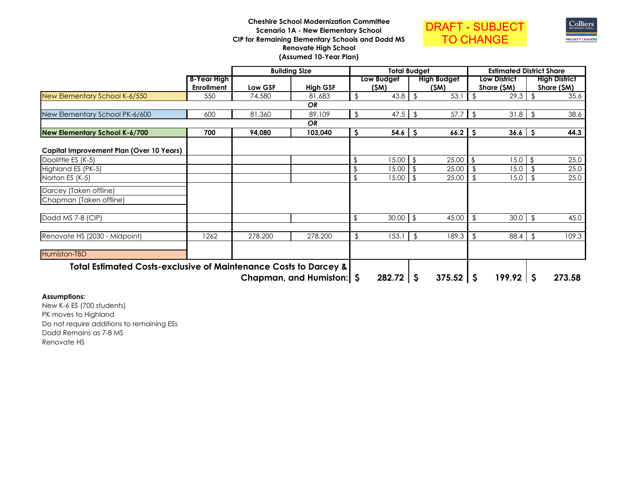## **Cheshire School Modernization CommitteeScenario 1A - New Elementary School CIP for Remaining Elementary Schools and Dodd MSRenovate High School(Assumed 10-Year Plan)**





|                                                                             |                   |         | <b>Building Size</b>        | <b>Total Budget</b> |            |                    |                    |                | <b>Estimated District Share</b> |                |                      |  |  |
|-----------------------------------------------------------------------------|-------------------|---------|-----------------------------|---------------------|------------|--------------------|--------------------|----------------|---------------------------------|----------------|----------------------|--|--|
|                                                                             | 8-Year High       |         |                             |                     | Low Budget | <b>High Budget</b> |                    |                | <b>Low District</b>             |                | <b>High District</b> |  |  |
|                                                                             | <b>Enrollment</b> | Low GSF | <b>High GSF</b>             |                     | (\$M)      |                    | (\$M)              |                | Share (\$M)                     |                | Share (\$M)          |  |  |
| New Elementary School K-6/550                                               | 550               | 74,580  | 81,683                      | \$                  | 43.8       | \$                 | 53.1               | \$             | 29.3                            | \$             | 35.6                 |  |  |
|                                                                             |                   |         | <b>OR</b>                   |                     |            |                    |                    |                |                                 |                |                      |  |  |
| New Elementary School PK-6/600                                              | 600               | 81,360  | 89,109                      | \$                  | 47.5       | \$                 | 57.7               | $\sqrt{3}$     | 31.8                            | -\$            | 38.6                 |  |  |
|                                                                             |                   |         | <b>OR</b>                   |                     |            |                    |                    |                |                                 |                |                      |  |  |
| <b>New Elementary School K-6/700</b>                                        | 700               | 94,080  | 103,040                     | S                   | 54.6       | S                  | $66.2$   \$        |                | 36.6                            | -\$            | 44.3                 |  |  |
| Capital Improvement Plan (Over 10 Years)                                    |                   |         |                             |                     |            |                    |                    |                |                                 |                |                      |  |  |
| Doolittle ES (K-5)                                                          |                   |         |                             | \$                  | 15.00      | \$                 | 25.00              | \$             | 15.0                            | \$             | 25.0                 |  |  |
| Highland ES (PK-5)                                                          |                   |         |                             |                     | 15.00      |                    | 25.00              |                | 15.0                            |                | 25.0                 |  |  |
| Norton ES (K-5)                                                             |                   |         |                             |                     | 15.00      |                    | 25.00              | \$.            | 15.0                            | $\mathfrak{F}$ | 25.0                 |  |  |
| Darcey (Taken offline)                                                      |                   |         |                             |                     |            |                    |                    |                |                                 |                |                      |  |  |
| Chapman (Taken offline)                                                     |                   |         |                             |                     |            |                    |                    |                |                                 |                |                      |  |  |
| Dodd MS 7-8 (CIP)                                                           |                   |         |                             | \$                  | 30.00      | \$                 | 45.00              | \$             | 30.0                            | \$             | 45.0                 |  |  |
| Renovate HS (2030 - Midpoint)                                               | 1262              | 278,200 | 278,200                     | \$                  | 153.1      | \$                 | 189.3              | $\mathfrak{L}$ | 88.4                            | \$             | 109.3                |  |  |
| Humiston-TBD                                                                |                   |         |                             |                     |            |                    |                    |                |                                 |                |                      |  |  |
| <b>Total Estimated Costs-exclusive of Maintenance Costs to Darcey &amp;</b> |                   |         |                             |                     |            |                    |                    |                |                                 |                |                      |  |  |
|                                                                             |                   |         | Chapman, and Humiston:   \$ |                     | 282.72     | \$                 | $375.52$ $\mid$ \$ |                | 199.92                          | -S             | 273.58               |  |  |

# **Assumptions:**

 New K-6 ES (700 students)PK moves to Highland Do not require additions to remaining ESsDodd Remains as 7-8 MSRenovate HS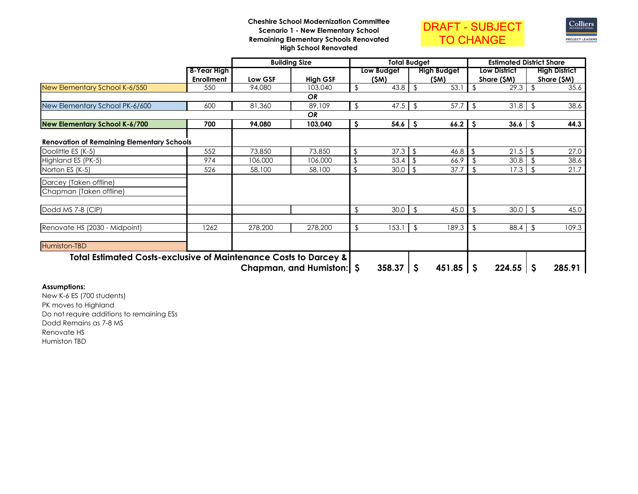### **Cheshire School Modernization CommitteeScenario 1 - New Elementary School Remaining Elementary Schools RenovatedHigh School Renovated**





|                                                                             |                   |         | <b>Building Size</b>     |    | <b>Total Budaet</b> |                |                    |               |                     | <b>Estimated District Share</b> |                      |
|-----------------------------------------------------------------------------|-------------------|---------|--------------------------|----|---------------------|----------------|--------------------|---------------|---------------------|---------------------------------|----------------------|
|                                                                             | 8-Year High       |         |                          |    | Low Budget          |                | <b>High Budget</b> |               | <b>Low District</b> |                                 | <b>High District</b> |
|                                                                             | <b>Enrollment</b> | Low GSF | <b>High GSF</b>          |    | (\$M)               |                | (SM)               |               | Share (\$M)         |                                 | Share (\$M)          |
| New Elementary School K-6/550                                               | 550               | 94,080  | 103,040                  | \$ | 43.8                | \$             | 53.1               | \$            | 29.3                |                                 | 35.6                 |
|                                                                             |                   |         | OR                       |    |                     |                |                    |               |                     |                                 |                      |
| New Elementary School PK-6/600                                              | 600               | 81,360  | 89,109                   | \$ | 47.5                | $\sqrt[6]{2}$  | 57.7               | $\frac{1}{2}$ | 31.8                | \$                              | 38.6                 |
|                                                                             |                   |         | <b>OR</b>                |    |                     |                |                    |               |                     |                                 |                      |
| <b>New Elementary School K-6/700</b>                                        | 700               | 94,080  | 103,040                  | S  | $54.6$ \$           |                | 66.2               | -S            | 36.6                | S                               | 44.3                 |
| <b>Renovation of Remaining Elementary Schools</b>                           |                   |         |                          |    |                     |                |                    |               |                     |                                 |                      |
| Doolittle ES (K-5)                                                          | 552               | 73,850  | 73,850                   | ß. | 37.3                | \$             | 46.8               | \$            | 21.5                | -\$                             | 27.0                 |
| Highland ES (PK-5)                                                          | 974               | 106,000 | 106,000                  |    | 53.4                |                | 66.9               |               | 30.8                |                                 | 38.6                 |
| Norton ES (K-5)                                                             | 526               | 58,100  | 58,100                   |    | 30.0                | \$             | 37.7               | s.            | 17.3                |                                 | 21.7                 |
| Darcey (Taken offline)                                                      |                   |         |                          |    |                     |                |                    |               |                     |                                 |                      |
| Chapman (Taken offline)                                                     |                   |         |                          |    |                     |                |                    |               |                     |                                 |                      |
| Dodd MS 7-8 (CIP)                                                           |                   |         |                          | \$ | 30.0                | \$             | 45.0               | $\frac{1}{2}$ | 30.0                | \$                              | 45.0                 |
| Renovate HS (2030 - Midpoint)                                               | 1262              | 278,200 | 278,200                  | \$ | 153.1               | $\mathfrak{L}$ | 189.3              | \$            | 88.4                | $\mathfrak{L}$                  | 109.3                |
|                                                                             |                   |         |                          |    |                     |                |                    |               |                     |                                 |                      |
| Humiston-TBD                                                                |                   |         |                          |    |                     |                |                    |               |                     |                                 |                      |
| <b>Total Estimated Costs-exclusive of Maintenance Costs to Darcey &amp;</b> |                   |         |                          |    |                     |                |                    |               |                     |                                 |                      |
|                                                                             |                   |         | Chapman, and Humiston: S |    | 358.37              | -\$            | $451.85$ $\mid$ \$ |               | 224.55              | -\$                             | 285.91               |

## **Assumptions:**

 New K-6 ES (700 students)PK moves to Highland Do not require additions to remaining ESsDodd Remains as 7-8 MSRenovate HSHumiston TBD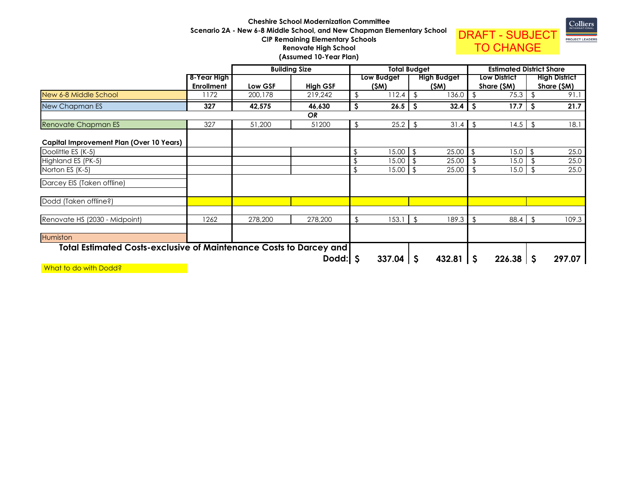## **Cheshire School Modernization Committee Scenario 2A - New 6-8 Middle School, and New Chapman Elementary SchoolCIP Remaining Elementary SchoolsRenovate High School(Assumed 10-Year Plan)**



|                                                                           |                   |         | <b>Building Size</b> | <b>Total Budget</b> |               |                |                    |                |                     | <b>Estimated District Share</b> |                      |
|---------------------------------------------------------------------------|-------------------|---------|----------------------|---------------------|---------------|----------------|--------------------|----------------|---------------------|---------------------------------|----------------------|
|                                                                           | 8-Year High       |         |                      |                     | Low Budget    |                | <b>High Budget</b> |                | <b>Low District</b> |                                 | <b>High District</b> |
|                                                                           | <b>Enrollment</b> | Low GSF | <b>High GSF</b>      |                     | (\$M)         |                | (\$M)              |                | Share (\$M)         |                                 | Share (\$M)          |
| New 6-8 Middle School                                                     | 172               | 200,178 | 219,242              | \$                  | 112.4         | \$             | 136.0              |                | 75.3                |                                 | 91.7                 |
| New Chapman ES                                                            | 327               | 42,575  | 46,630               | Ś                   | 26.5          | .S             | 32.4               | -S             | 17.7                | S                               | 21.7                 |
|                                                                           |                   |         | <b>OR</b>            |                     |               |                |                    |                |                     |                                 |                      |
| Renovate Chapman ES                                                       | 327               | 51,200  | 51200                | \$                  | $25.2$ \$     |                | 31.4               | $\sqrt{2}$     | 14.5                | $\sqrt{2}$                      | 18.1                 |
| Capital Improvement Plan (Over 10 Years)                                  |                   |         |                      |                     |               |                |                    |                |                     |                                 |                      |
| Doolittle ES (K-5)                                                        |                   |         |                      |                     | 15.00         | $\mathfrak{F}$ | 25.00              |                | 15.0                | \$                              | 25.0                 |
| Highland ES (PK-5)                                                        |                   |         |                      |                     | 15.00         |                | 25.00              |                | 15.0                |                                 | 25.0                 |
| Norton ES (K-5)                                                           |                   |         |                      |                     | 15.00         | -\$            | 25.00              | $\mathfrak{L}$ | 15.0                | -\$                             | 25.0                 |
| Darcey EIS (Taken offline)                                                |                   |         |                      |                     |               |                |                    |                |                     |                                 |                      |
| Dodd (Taken offline?)                                                     |                   |         |                      |                     |               |                |                    |                |                     |                                 |                      |
| Renovate HS (2030 - Midpoint)                                             | 1262              | 278,200 | 278,200              | \$                  | 153.1         | $\sqrt{2}$     | 189.3              | \$             | 88.4                | \$                              | 109.3                |
| Humiston                                                                  |                   |         |                      |                     |               |                |                    |                |                     |                                 |                      |
| <b>Total Estimated Costs-exclusive of Maintenance Costs to Darcey and</b> |                   |         |                      |                     |               |                |                    |                |                     |                                 |                      |
|                                                                           |                   |         | Dodd: $\vert$ \$     |                     | $337.04$ \ \$ |                | 432.81             | -S             | 226.38              | -S                              | 297.07               |
| What to do with Dodd?                                                     |                   |         |                      |                     |               |                |                    |                |                     |                                 |                      |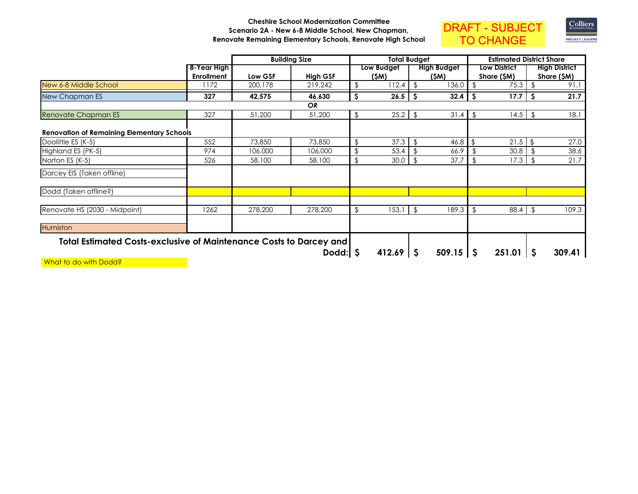## **Cheshire School Modernization Committee Scenario 2A - New 6-8 Middle School, New Chapman,Renovate Remaining Elementary Schools, Renovate High School**





|                                                                           |                   |         | <b>Building Size</b> |    | <b>Total Budget</b> |          |                     |                         |                     | <b>Estimated District Share</b> |                      |
|---------------------------------------------------------------------------|-------------------|---------|----------------------|----|---------------------|----------|---------------------|-------------------------|---------------------|---------------------------------|----------------------|
|                                                                           | 8-Year High       |         |                      |    | Low Budget          |          | <b>High Budget</b>  |                         | <b>Low District</b> |                                 | <b>High District</b> |
|                                                                           | <b>Enrollment</b> | Low GSF | <b>High GSF</b>      |    | (\$M)               |          | (\$M)               |                         | Share (\$M)         |                                 | Share (\$M)          |
| New 6-8 Middle School                                                     | 172               | 200,178 | 219,242              |    | 112.4               | \$       | 136.0               |                         | 75.3                |                                 | 91.1                 |
| New Chapman ES                                                            | 327               | 42,575  | 46,630               | S  | 26.5                | <b>S</b> | 32.4                | -\$                     | 17.7                | <b>S</b>                        | 21.7                 |
|                                                                           |                   |         | <b>OR</b>            |    |                     |          |                     |                         |                     |                                 |                      |
| Renovate Chapman ES                                                       | 327               | 51,200  | 51,200               | \$ | $25.2$ \$           |          | 31.4                | $\sqrt[6]{\frac{1}{2}}$ | 14.5                | \$                              | 18.1                 |
| <b>Renovation of Remaining Elementary Schools</b>                         |                   |         |                      |    |                     |          |                     |                         |                     |                                 |                      |
| Doolittle ES (K-5)                                                        | 552               | 73,850  | 73,850               | \$ | 37.3                | \$       | 46.8                |                         | 21.5                | \$                              | 27.0                 |
| Highland ES (PK-5)                                                        | 974               | 106,000 | 106,000              |    | 53.4                |          | 66.9                |                         | 30.8                |                                 | 38.6                 |
| Norton ES (K-5)                                                           | 526               | 58,100  | 58,100               | \$ | 30.0                | \$       | 37.7                | \$                      | 17.3                |                                 | 21.7                 |
| Darcey EIS (Taken offline)                                                |                   |         |                      |    |                     |          |                     |                         |                     |                                 |                      |
| Dodd (Taken offline?)                                                     |                   |         |                      |    |                     |          |                     |                         |                     |                                 |                      |
| Renovate HS (2030 - Midpoint)                                             | 1262              | 278,200 | 278,200              | \$ | 153.1               | \$       | 189.3               | \$                      | 88.4                | $\mathfrak{L}$                  | 109.3                |
| Humiston                                                                  |                   |         |                      |    |                     |          |                     |                         |                     |                                 |                      |
| <b>Total Estimated Costs-exclusive of Maintenance Costs to Darcey and</b> |                   |         |                      |    |                     |          |                     |                         |                     |                                 |                      |
|                                                                           |                   |         | Dodd: $\vert$ \$     |    | $412.69$ \ \$       |          | $509.15$ $\sqrt{5}$ |                         | 251.01              | -S                              | 309.41               |

What to do with Dodd?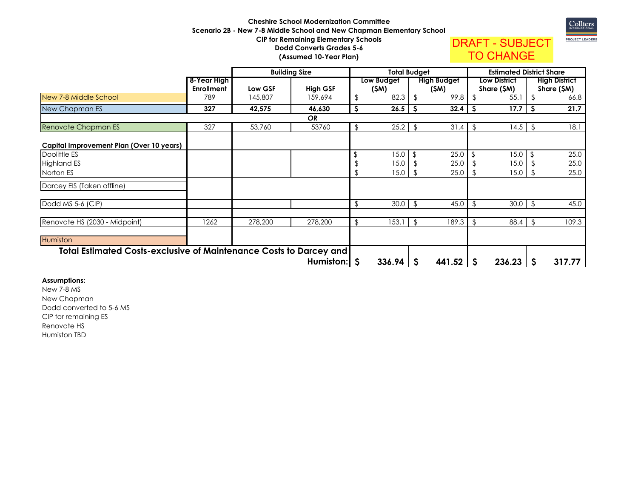## **Cheshire School Modernization Committee Scenario 2B - New 7-8 Middle School and New Chapman Elementary SchoolCIP for Remaining Elementary SchoolsDodd Converts Grades 5-6(Assumed 10-Year Plan)**





Colliers

|                                                                           |                   |         | <b>Building Size</b> | <b>Total Budget</b> |                     |    | <b>Estimated District Share</b> |                |                      |
|---------------------------------------------------------------------------|-------------------|---------|----------------------|---------------------|---------------------|----|---------------------------------|----------------|----------------------|
|                                                                           | 8-Year High       |         |                      | Low Budget          | <b>High Budget</b>  |    | <b>Low District</b>             |                | <b>High District</b> |
|                                                                           | <b>Enrollment</b> | Low GSF | <b>High GSF</b>      | (SM)                | (SM)                |    | Share (\$M)                     |                | <u>Share (\$M)</u>   |
| New 7-8 Middle School                                                     | 789               | 145,807 | 159,694              | 82.3                | 99.8                |    | 55.1                            |                | 66.8                 |
| New Chapman ES                                                            | 327               | 42,575  | 46,630               | 26.5                | 32.4                |    | 17.7                            | S              | 21.7                 |
|                                                                           |                   |         | <b>OR</b>            |                     |                     |    |                                 |                |                      |
| Renovate Chapman ES                                                       | 327               | 53,760  | 53760                | \$<br>25.2          | \$<br>31.4          | \$ | 14.5                            | -\$            | 18.1                 |
| Capital Improvement Plan (Over 10 years)                                  |                   |         |                      |                     |                     |    |                                 |                |                      |
| Doolittle ES                                                              |                   |         |                      | \$<br>15.0          | \$<br>25.0          | \$ | 15.0                            | \$             | 25.0                 |
| <b>Highland ES</b>                                                        |                   |         |                      | 15.0                | 25.0                |    | 15.0                            |                | 25.0                 |
| Norton ES                                                                 |                   |         |                      | 15.0                | 25.0                | \$ | 15.0                            |                | 25.0                 |
| Darcey EIS (Taken offline)                                                |                   |         |                      |                     |                     |    |                                 |                |                      |
| Dodd MS 5-6 (CIP)                                                         |                   |         |                      | \$<br>30.0          | \$<br>45.0          | \$ | 30.0                            | \$             | 45.0                 |
| Renovate HS (2030 - Midpoint)                                             | 1262              | 278,200 | 278,200              | \$<br>153.1         | 189.3               | \$ | 88.4                            | $\mathfrak{g}$ | 109.3                |
| <b>Humiston</b>                                                           |                   |         |                      |                     |                     |    |                                 |                |                      |
| <b>Total Estimated Costs-exclusive of Maintenance Costs to Darcey and</b> |                   |         |                      |                     |                     |    |                                 |                |                      |
|                                                                           |                   |         | Humiston:   \$       | $336.94$   \$       | $441.52$ $\sqrt{5}$ |    | $236.23$ \ \$                   |                | 317.77               |

# **Assumptions:**

New 7-8 MS New Chapman Dodd converted to 5-6 MSCIP for remaining ESRenovate HSHumiston TBD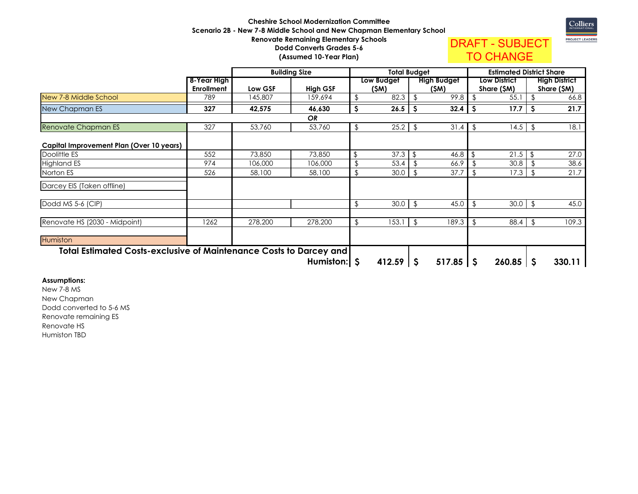## **Cheshire School Modernization Committee Scenario 2B - New 7-8 Middle School and New Chapman Elementary SchoolRenovate Remaining Elementary SchoolsDodd Converts Grades 5-6(Assumed 10-Year Plan)**



DRAFT - SUBJECTTO CHANGE

**8-Year High EnrollmentLow GSF High GSF**<br>145,807 159,694  **Low Budget (\$M) High Budget (\$M) Low District Share (\$M)**  $55.1$  **High District Share (\$M)** 66.8 New 7-8 Middle School1 789 | 789 9 145,807 159,694 \$ 82.3 \$ 99.8 \$ 55.1 \$ 66.8 New Chapman ES **<sup>327</sup> 42,575 46,630 26.5 \$ 32.4 \$ 17.7 \$ 21.7 \$**  Renovate Chapman ES $\begin{array}{|c|c|c|c|}\n \hline\n \text{327}\n \end{array}$ 7 53,760 53,760 \$ 25.2 \$ 31.4 \$ 14.5 \$ 18.1 **Capital Improvement Plan (Over 10 years)**Doolittle ES <sup>552</sup>2 73,850 73,850 \$ 37.3 \$ 46.8 \$ 21.5 \$ 27.0 Highland ESs 974 4 106,000 106,000 \$ 53.4 \$ 66.9 \$ 30.8 \$ 38.6 Norton ES <sup>526</sup> 58,100 58,100 \$ 30.0 \$ 37.7 \$ 17.3 \$ 21.7 Darcey EIS (Taken offline)Dodd MS 5-6 (CIP) $\frac{1}{2}$   $\frac{1}{2}$   $\frac{1}{2}$   $\frac{1}{2}$   $\frac{1}{2}$   $\frac{1}{2}$   $\frac{1}{2}$   $\frac{1}{2}$   $\frac{1}{2}$   $\frac{1}{2}$   $\frac{1}{2}$   $\frac{1}{2}$   $\frac{1}{2}$   $\frac{1}{2}$   $\frac{1}{2}$   $\frac{1}{2}$   $\frac{1}{2}$   $\frac{1}{2}$   $\frac{1}{2}$   $\frac{1}{2}$   $\frac{1}{2}$   $\frac{1}{2}$   $0 \mid \frac{2}{3}$  45.0 \$ 30.0 \$ 45.0 Renovate HS (2030 - Midpoint) <sup>1262</sup>2 278,200 278,200 \$ 153.1 \$ 189.3 \$ 88.4 \$ 109.3 **Humiston Total Estimated Costs-exclusive of Maintenance Costs to Darcey and**  $412.59$  \ \$ **412.59 \$ 260.85 \$ 330.11 \$ Building Size Total Budget Estimated District Share** *OR*53.760 **Humiston:** 

#### **Assumptions:**

New 7-8 MS New Chapman Dodd converted to 5-6 MSRenovate remaining ESRenovate HSHumiston TBD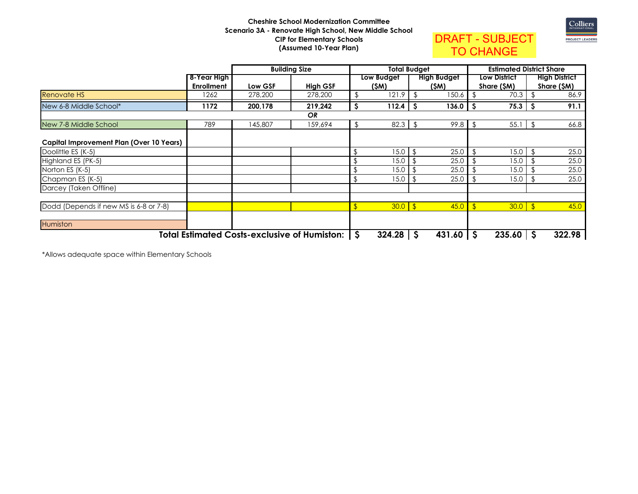## **Cheshire School Modernization Committee Scenario 3A - Renovate High School, New Middle SchoolCIP for Elementary Schools(Assumed 10-Year Plan)**



DRAFT - SUBJECTTO CHANGE

|                                          |                   |         | <b>Building Size</b>                                  | <b>Total Budget</b> |               |    |                    |                     | <b>Estimated District Share</b> |    |                      |
|------------------------------------------|-------------------|---------|-------------------------------------------------------|---------------------|---------------|----|--------------------|---------------------|---------------------------------|----|----------------------|
|                                          | 8-Year High       |         |                                                       |                     | Low Budget    |    | <b>High Budget</b> | <b>Low District</b> |                                 |    | <b>High District</b> |
|                                          | <b>Enrollment</b> | Low GSF | <b>High GSF</b>                                       |                     | (SM)          |    | (SM)               |                     | Share (\$M)                     |    | Share (\$M)          |
| <b>Renovate HS</b>                       | 1262              | 278,200 | 278,200                                               |                     | 121.9         | P  | 150.6              |                     | 70.3                            |    | 86.9                 |
| New 6-8 Middle School*                   | 1172              | 200,178 | 219,242                                               | S                   | 112.4         | -S | 136.0              | -S                  | 75.3                            | S  | 91.1                 |
|                                          |                   |         | <b>OR</b>                                             |                     |               |    |                    |                     |                                 |    |                      |
| New 7-8 Middle School                    | 789               | 145,807 | 159,694                                               | \$                  | $82.3$ \$     |    | 99.8               | $\sqrt[6]{2}$       | 55.1                            | \$ | 66.8                 |
| Capital Improvement Plan (Over 10 Years) |                   |         |                                                       |                     |               |    |                    |                     |                                 |    |                      |
| Doolittle ES (K-5)                       |                   |         |                                                       |                     | 15.0          |    | 25.0               |                     | 15.0                            |    | 25.0                 |
| Highland ES (PK-5)                       |                   |         |                                                       |                     | 15.0          |    | 25.0               |                     | 15.0                            |    | 25.0                 |
| Norton ES (K-5)                          |                   |         |                                                       |                     | 15.0          |    | 25.0               |                     | 15.0                            |    | 25.0                 |
| Chapman ES (K-5)                         |                   |         |                                                       |                     | 15.0          |    | 25.0               |                     | 15.0                            |    | 25.0                 |
| Darcey (Taken Offline)                   |                   |         |                                                       |                     |               |    |                    |                     |                                 |    |                      |
| Dodd (Depends if new MS is 6-8 or 7-8)   |                   |         |                                                       |                     | $30.0$ \$     |    | 45.0               | -\$                 | $30.0$ \$                       |    | 45.0                 |
| Humiston                                 |                   |         |                                                       |                     |               |    |                    |                     |                                 |    |                      |
|                                          |                   |         | <b>Total Estimated Costs-exclusive of Humiston:  </b> | -S                  | $324.28$ \ \$ |    | $431.60$   \$      |                     | 235.60                          | -S | 322.98               |

\*Allows adequate space within Elementary Schools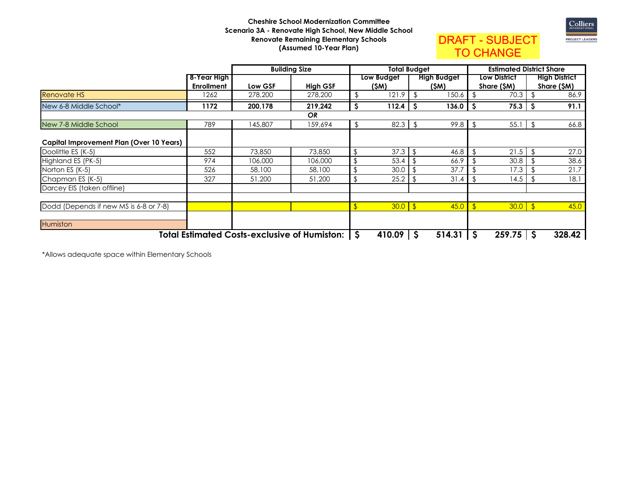## **Cheshire School Modernization Committee Scenario 3A - Renovate High School, New Middle SchoolRenovate Remaining Elementary Schools(Assumed 10-Year Plan)**



DRAFT - SUBJECTTO CHANGE

|                                          |                   |         | <b>Building Size</b>                           | <b>Total Budget</b> |            |             |        | <b>Estimated District Share</b> |                     |     |                      |
|------------------------------------------|-------------------|---------|------------------------------------------------|---------------------|------------|-------------|--------|---------------------------------|---------------------|-----|----------------------|
|                                          | 8-Year High       |         |                                                |                     | Low Budget | High Budget |        |                                 | <b>Low District</b> |     | <b>High District</b> |
|                                          | <b>Enrollment</b> | Low GSF | <b>High GSF</b>                                |                     | (SM)       |             | (SM)   |                                 | Share (SM)          |     | Share (\$M)          |
| <b>Renovate HS</b>                       | 1262              | 278,200 | 278,200                                        |                     | 121.9      |             | 150.6  |                                 | 70.3                |     | 86.9                 |
| New 6-8 Middle School*                   | 1172              | 200,178 | 219,242                                        | \$                  | 112.4      | <b>S</b>    | 136.0  | .S                              | 75.3                | -S  | 91.1                 |
|                                          |                   |         | <b>OR</b>                                      |                     |            |             |        |                                 |                     |     |                      |
| New 7-8 Middle School                    | 789               | 145,807 | 159,694                                        |                     | 82.3       | -\$         | 99.8   | \$                              | 55.1                | -\$ | 66.8                 |
| Capital Improvement Plan (Over 10 Years) |                   |         |                                                |                     |            |             |        |                                 |                     |     |                      |
| Doolittle ES (K-5)                       | 552               | 73,850  | 73,850                                         |                     | 37.3       |             | 46.8   |                                 | 21.5                |     | 27.0                 |
| Highland ES (PK-5)                       | 974               | 106,000 | 106,000                                        |                     | 53.4       |             | 66.9   |                                 | 30.8                |     | 38.6                 |
| Norton ES (K-5)                          | 526               | 58,100  | 58,100                                         |                     | 30.0       |             | 37.7   |                                 | 17.3                |     | 21.7                 |
| Chapman ES (K-5)                         | 327               | 51,200  | 51,200                                         |                     | 25.2       |             | 31.4   | \$.                             | 14.5                |     | 18.1                 |
| Darcey EIS (taken offline)               |                   |         |                                                |                     |            |             |        |                                 |                     |     |                      |
| Dodd (Depends if new MS is 6-8 or 7-8)   |                   |         |                                                |                     | $30.0$ \$  |             | 45.0   |                                 | $30.0$ \$           |     | 45.0                 |
| Humiston                                 |                   |         |                                                |                     |            |             |        |                                 |                     |     |                      |
|                                          |                   |         | Total Estimated Costs-exclusive of Humiston: S |                     | 410.09     | <b>S</b>    | 514.31 | -S                              | 259.75              | -\$ | 328.42               |

\*Allows adequate space within Elementary Schools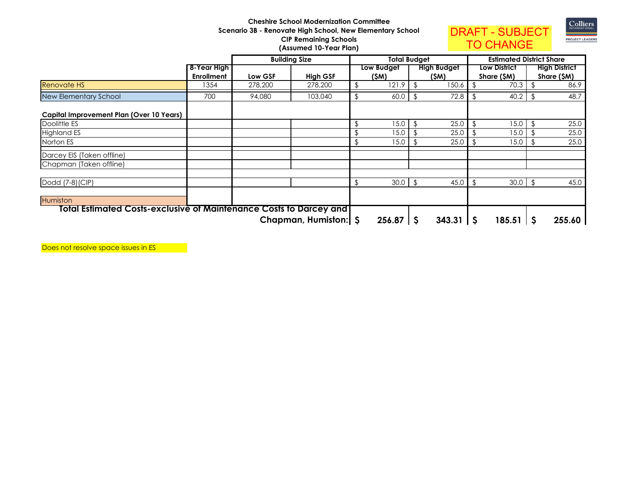## **Cheshire School Modernization Committee Scenario 3B - Renovate High School, New Elementary School CIP Remaining Schools(Assumed 10-Year Plan)**



TO CHANGE

|                                                                             |                   |         | <b>Building Size</b> | <b>Total Budget</b> |               |               |                     | <b>Estimated District Share</b> |                     |     |                      |
|-----------------------------------------------------------------------------|-------------------|---------|----------------------|---------------------|---------------|---------------|---------------------|---------------------------------|---------------------|-----|----------------------|
|                                                                             | 8-Year High       |         |                      |                     | Low Budget    |               | <b>High Budget</b>  |                                 | <b>Low District</b> |     | <b>High District</b> |
|                                                                             | <b>Enrollment</b> | Low GSF | <b>High GSF</b>      |                     | (\$M)         |               | (\$M)               |                                 | Share (\$M)         |     | Share (\$M)          |
| <b>Renovate HS</b>                                                          | 1354              | 278,200 | 278,200              | P                   | 121.9         | \$            | 150.6               |                                 | 70.3                |     | 86.9                 |
| New Elementary School                                                       | 700               | 94,080  | 103,040              | \$                  | 60.0          |               | 72.8                | \$                              | 40.2                |     | 48.7                 |
| Capital Improvement Plan (Over 10 Years)                                    |                   |         |                      |                     |               |               |                     |                                 |                     |     |                      |
| Doolittle ES                                                                |                   |         |                      | \$                  | 15.0          |               | 25.0                | \$                              | 15.0                |     | 25.0                 |
| <b>Highland ES</b>                                                          |                   |         |                      |                     | 15.0          | \$            | 25.0                | \$                              | 15.0                |     | 25.0                 |
| Norton ES                                                                   |                   |         |                      | \$                  | 15.0          | \$            | 25.0                | \$                              | 15.0                |     | 25.0                 |
| Darcey EIS (Taken offline)                                                  |                   |         |                      |                     |               |               |                     |                                 |                     |     |                      |
| Chapman (Taken offline)                                                     |                   |         |                      |                     |               |               |                     |                                 |                     |     |                      |
| Dodd (7-8) (CIP)                                                            |                   |         |                      | \$                  | 30.0          | $\mathcal{S}$ | 45.0                |                                 | 30.0                | _\$ | 45.0                 |
| Humiston                                                                    |                   |         |                      |                     |               |               |                     |                                 |                     |     |                      |
| <u> Total Estimated Costs-exclusive of Maintenance Costs to Darcey and </u> |                   |         |                      |                     |               |               |                     |                                 |                     |     |                      |
|                                                                             |                   |         | Chapman, Humiston: S |                     | $256.87$ \ \$ |               | $343.31$ $\sqrt{5}$ |                                 | 185.51              | -S  | 255.60               |

Does not resolve space issues in ES